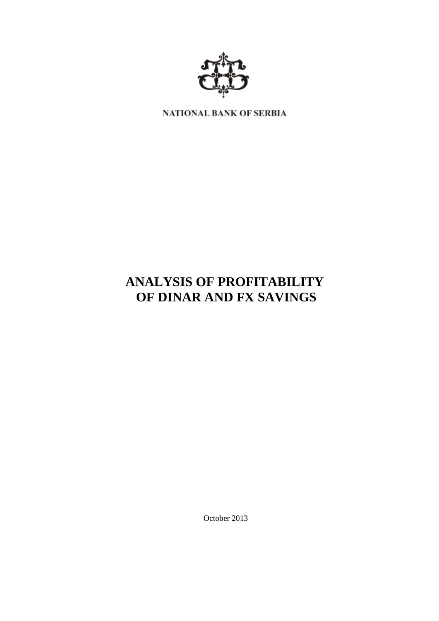

NATIONAL BANK OF SERBIA

# **ANALYSIS OF PROFITABILITY OF DINAR AND FX SAVINGS**

October 2013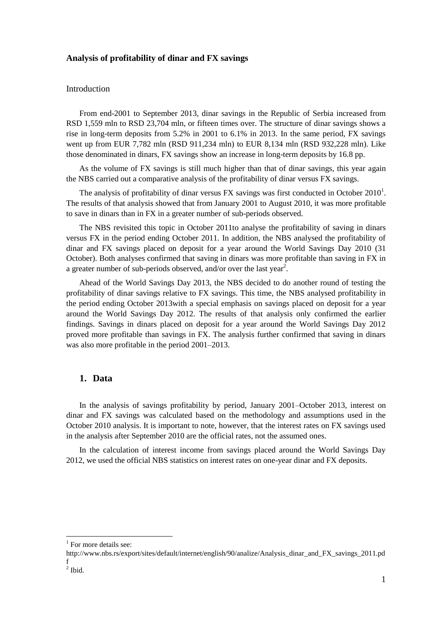#### **Analysis of profitability of dinar and FX savings**

#### Introduction

From end-2001 to September 2013, dinar savings in the Republic of Serbia increased from RSD 1,559 mln to RSD 23,704 mln, or fifteen times over. The structure of dinar savings shows a rise in long-term deposits from 5.2% in 2001 to 6.1% in 2013. In the same period, FX savings went up from EUR 7,782 mln (RSD 911,234 mln) to EUR 8,134 mln (RSD 932,228 mln). Like those denominated in dinars, FX savings show an increase in long-term deposits by 16.8 pp.

As the volume of FX savings is still much higher than that of dinar savings, this year again the NBS carried out a comparative analysis of the profitability of dinar versus FX savings.

The analysis of profitability of dinar versus FX savings was first conducted in October  $2010<sup>1</sup>$ . The results of that analysis showed that from January 2001 to August 2010, it was more profitable to save in dinars than in FX in a greater number of sub-periods observed.

The NBS revisited this topic in October 2011to analyse the profitability of saving in dinars versus FX in the period ending October 2011. In addition, the NBS analysed the profitability of dinar and FX savings placed on deposit for a year around the World Savings Day 2010 (31 October). Both analyses confirmed that saving in dinars was more profitable than saving in FX in a greater number of sub-periods observed, and/or over the last year<sup>2</sup>.

Ahead of the World Savings Day 2013, the NBS decided to do another round of testing the profitability of dinar savings relative to FX savings. This time, the NBS analysed profitability in the period ending October 2013with a special emphasis on savings placed on deposit for a year around the World Savings Day 2012. The results of that analysis only confirmed the earlier findings. Savings in dinars placed on deposit for a year around the World Savings Day 2012 proved more profitable than savings in FX. The analysis further confirmed that saving in dinars was also more profitable in the period 2001–2013.

### **1. Data**

In the analysis of savings profitability by period, January 2001–October 2013, interest on dinar and FX savings was calculated based on the methodology and assumptions used in the October 2010 analysis. It is important to note, however, that the interest rates on FX savings used in the analysis after September 2010 are the official rates, not the assumed ones.

In the calculation of interest income from savings placed around the World Savings Day 2012, we used the official NBS statistics on interest rates on one-year dinar and FX deposits.

 $\overline{a}$ 

<sup>&</sup>lt;sup>1</sup> For more details see:

http://www.nbs.rs/export/sites/default/internet/english/90/analize/Analysis\_dinar\_and\_FX\_savings\_2011.pd f

 $<sup>2</sup>$  Ibid.</sup>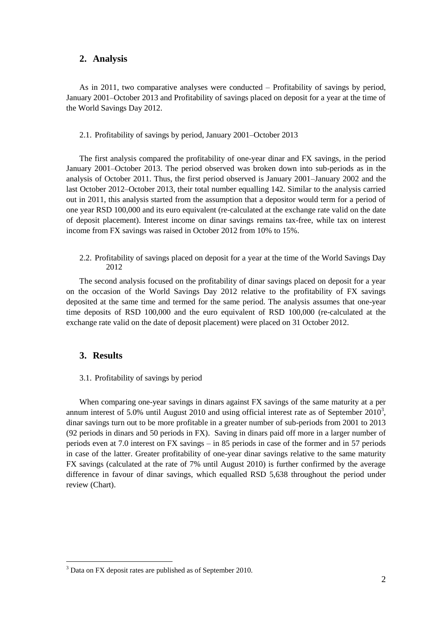#### **2. Analysis**

As in 2011, two comparative analyses were conducted – Profitability of savings by period, January 2001–October 2013 and Profitability of savings placed on deposit for a year at the time of the World Savings Day 2012.

2.1. Profitability of savings by period, January 2001–October 2013

The first analysis compared the profitability of one-year dinar and FX savings, in the period January 2001–October 2013. The period observed was broken down into sub-periods as in the analysis of October 2011. Thus, the first period observed is January 2001–January 2002 and the last October 2012–October 2013, their total number equalling 142. Similar to the analysis carried out in 2011, this analysis started from the assumption that a depositor would term for a period of one year RSD 100,000 and its euro equivalent (re-calculated at the exchange rate valid on the date of deposit placement). Interest income on dinar savings remains tax-free, while tax on interest income from FX savings was raised in October 2012 from 10% to 15%.

2.2. Profitability of savings placed on deposit for a year at the time of the World Savings Day 2012

The second analysis focused on the profitability of dinar savings placed on deposit for a year on the occasion of the World Savings Day 2012 relative to the profitability of FX savings deposited at the same time and termed for the same period. The analysis assumes that one-year time deposits of RSD 100,000 and the euro equivalent of RSD 100,000 (re-calculated at the exchange rate valid on the date of deposit placement) were placed on 31 October 2012.

#### **3. Results**

 $\overline{a}$ 

3.1. Profitability of savings by period

When comparing one-year savings in dinars against FX savings of the same maturity at a per annum interest of 5.0% until August 2010 and using official interest rate as of September 2010<sup>3</sup>, dinar savings turn out to be more profitable in a greater number of sub-periods from 2001 to 2013 (92 periods in dinars and 50 periods in FX). Saving in dinars paid off more in a larger number of periods even at 7.0 interest on FX savings – in 85 periods in case of the former and in 57 periods in case of the latter. Greater profitability of one-year dinar savings relative to the same maturity FX savings (calculated at the rate of 7% until August 2010) is further confirmed by the average difference in favour of dinar savings, which equalled RSD 5,638 throughout the period under review (Chart).

<sup>&</sup>lt;sup>3</sup> Data on FX deposit rates are published as of September 2010.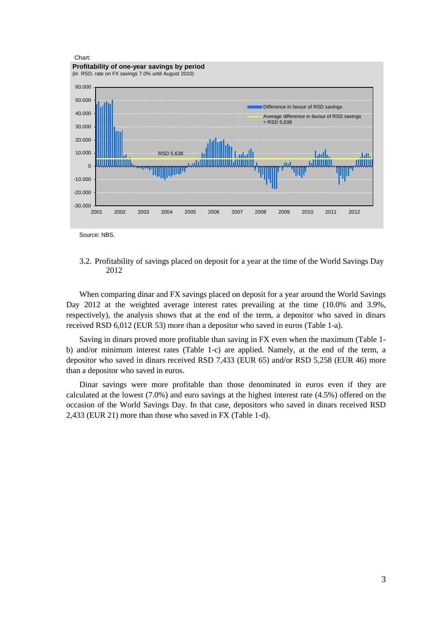

3.2. Profitability of savings placed on deposit for a year at the time of the World Savings Day 2012

When comparing dinar and FX savings placed on deposit for a year around the World Savings Day 2012 at the weighted average interest rates prevailing at the time (10.0% and 3.9%, respectively), the analysis shows that at the end of the term, a depositor who saved in dinars received RSD 6,012 (EUR 53) more than a depositor who saved in euros (Table 1-a).

Saving in dinars proved more profitable than saving in FX even when the maximum (Table 1 b) and/or minimum interest rates (Table 1-c) are applied. Namely, at the end of the term, a depositor who saved in dinars received RSD 7,433 (EUR 65) and/or RSD 5,258 (EUR 46) more than a depositor who saved in euros.

Dinar savings were more profitable than those denominated in euros even if they are calculated at the lowest (7.0%) and euro savings at the highest interest rate (4.5%) offered on the occasion of the World Savings Day. In that case, depositors who saved in dinars received RSD 2,433 (EUR 21) more than those who saved in FX (Table 1-d).